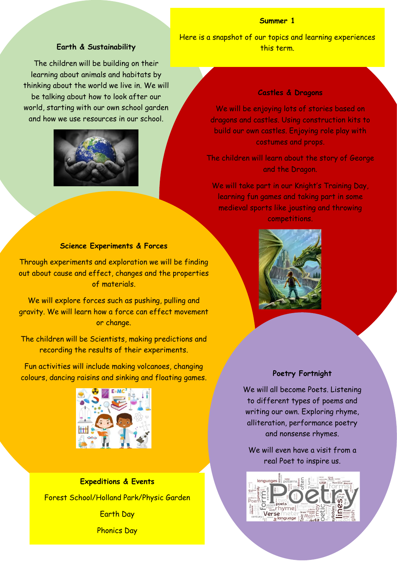### **Summer 1**

## **Earth & Sustainability**

The children will be building on their learning about animals and habitats by thinking about the world we live in. We will be talking about how to look after our world, starting with our own school garden and how we use resources in our school.



Here is a snapshot of our topics and learning experiences this term.

#### **Castles & Dragons**

We will be enjoying lots of stories based on dragons and castles. Using construction kits to build our own castles. Enjoying role play with costumes and props.

The children will learn about the story of George and the Dragon.

We will take part in our Knight's Training Day, learning fun games and taking part in some medieval sports like jousting and throwing competitions.

# **Science Experiments & Forces**

Through experiments and exploration we will be finding out about cause and effect, changes and the properties of materials.

We will explore forces such as pushing, pulling and gravity. We will learn how a force can effect movement or change.

The children will be Scientists, making predictions and recording the results of their experiments.

Fun activities will include making volcanoes, changing colours, dancing raisins and sinking and floating games.



**Expeditions & Events** Forest School/Holland Park/Physic Garden Earth Day

Phonics Day



# **Poetry Fortnight**

We will all become Poets. Listening to different types of poems and writing our own. Exploring rhyme, alliteration, performance poetry and nonsense rhymes.

We will even have a visit from a real Poet to inspire us.